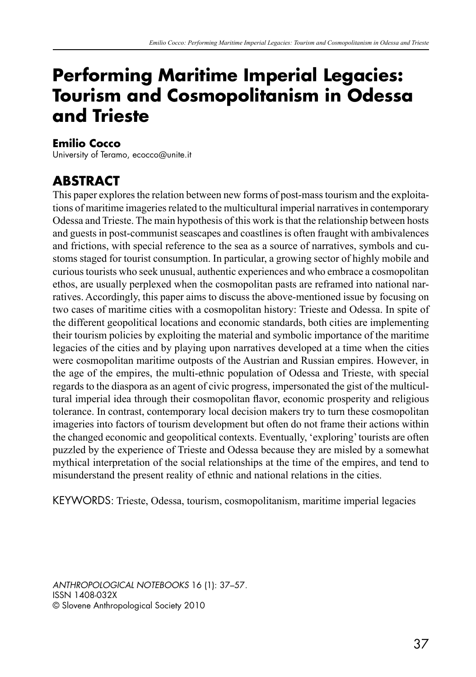# **Performing Maritime Imperial Legacies: Tourism and Cosmopolitanism in Odessa and Trieste**

#### **Emilio Cocco**

University of Teramo, ecocco@unite.it

## **ABSTRACT**

This paper explores the relation between new forms of post-mass tourism and the exploitations of maritime imageries related to the multicultural imperial narratives in contemporary Odessa and Trieste. The main hypothesis of this work is that the relationship between hosts and guests in post-communist seascapes and coastlines is often fraught with ambivalences and frictions, with special reference to the sea as a source of narratives, symbols and customs staged for tourist consumption. In particular, a growing sector of highly mobile and curious tourists who seek unusual, authentic experiences and who embrace a cosmopolitan ethos, are usually perplexed when the cosmopolitan pasts are reframed into national narratives. Accordingly, this paper aims to discuss the above-mentioned issue by focusing on two cases of maritime cities with a cosmopolitan history: Trieste and Odessa. In spite of the different geopolitical locations and economic standards, both cities are implementing their tourism policies by exploiting the material and symbolic importance of the maritime legacies of the cities and by playing upon narratives developed at a time when the cities were cosmopolitan maritime outposts of the Austrian and Russian empires. However, in the age of the empires, the multi-ethnic population of Odessa and Trieste, with special regards to the diaspora as an agent of civic progress, impersonated the gist of the multicultural imperial idea through their cosmopolitan flavor, economic prosperity and religious tolerance. In contrast, contemporary local decision makers try to turn these cosmopolitan imageries into factors of tourism development but often do not frame their actions within the changed economic and geopolitical contexts. Eventually, 'exploring' tourists are often puzzled by the experience of Trieste and Odessa because they are misled by a somewhat mythical interpretation of the social relationships at the time of the empires, and tend to misunderstand the present reality of ethnic and national relations in the cities.

KEYWORDS: Trieste, Odessa, tourism, cosmopolitanism, maritime imperial legacies

*ANTHROPOLOGICAL NOTEBOOKS* 16 (1): 37–57. ISSN 1408-032X © Slovene Anthropological Society 2010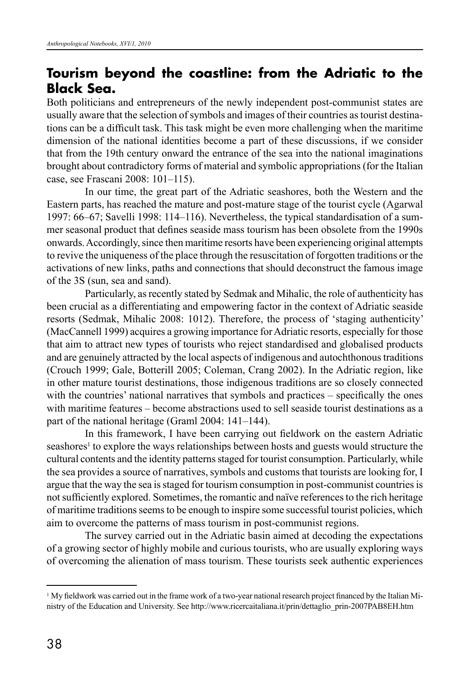### **Tourism beyond the coastline: from the Adriatic to the Black Sea.**

Both politicians and entrepreneurs of the newly independent post-communist states are usually aware that the selection of symbols and images of their countries as tourist destinations can be a difficult task. This task might be even more challenging when the maritime dimension of the national identities become a part of these discussions, if we consider that from the 19th century onward the entrance of the sea into the national imaginations brought about contradictory forms of material and symbolic appropriations (for the Italian case, see Frascani 2008: 101–115).

In our time, the great part of the Adriatic seashores, both the Western and the Eastern parts, has reached the mature and post-mature stage of the tourist cycle (Agarwal 1997: 66–67; Savelli 1998: 114–116). Nevertheless, the typical standardisation of a summer seasonal product that defines seaside mass tourism has been obsolete from the 1990s onwards. Accordingly, since then maritime resorts have been experiencing original attempts to revive the uniqueness of the place through the resuscitation of forgotten traditions or the activations of new links, paths and connections that should deconstruct the famous image of the 3S (sun, sea and sand).

Particularly, as recently stated by Sedmak and Mihalic, the role of authenticity has been crucial as a differentiating and empowering factor in the context of Adriatic seaside resorts (Sedmak, Mihalic 2008: 1012). Therefore, the process of 'staging authenticity' (MacCannell 1999) acquires a growing importance for Adriatic resorts, especially for those that aim to attract new types of tourists who reject standardised and globalised products and are genuinely attracted by the local aspects of indigenous and autochthonous traditions (Crouch 1999; Gale, Botterill 2005; Coleman, Crang 2002). In the Adriatic region, like in other mature tourist destinations, those indigenous traditions are so closely connected with the countries' national narratives that symbols and practices – specifically the ones with maritime features – become abstractions used to sell seaside tourist destinations as a part of the national heritage (Graml 2004: 141–144).

In this framework, I have been carrying out fieldwork on the eastern Adriatic seashores<sup>1</sup> to explore the ways relationships between hosts and guests would structure the cultural contents and the identity patterns staged for tourist consumption. Particularly, while the sea provides a source of narratives, symbols and customs that tourists are looking for, I argue that the way the sea is staged for tourism consumption in post-communist countries is not sufficiently explored. Sometimes, the romantic and naïve references to the rich heritage of maritime traditions seems to be enough to inspire some successful tourist policies, which aim to overcome the patterns of mass tourism in post-communist regions.

The survey carried out in the Adriatic basin aimed at decoding the expectations of a growing sector of highly mobile and curious tourists, who are usually exploring ways of overcoming the alienation of mass tourism. These tourists seek authentic experiences

<sup>1</sup> My fieldwork was carried out in the frame work of a two-year national research project financed by the Italian Ministry of the Education and University. See http://www.ricercaitaliana.it/prin/dettaglio\_prin-2007PAB8EH.htm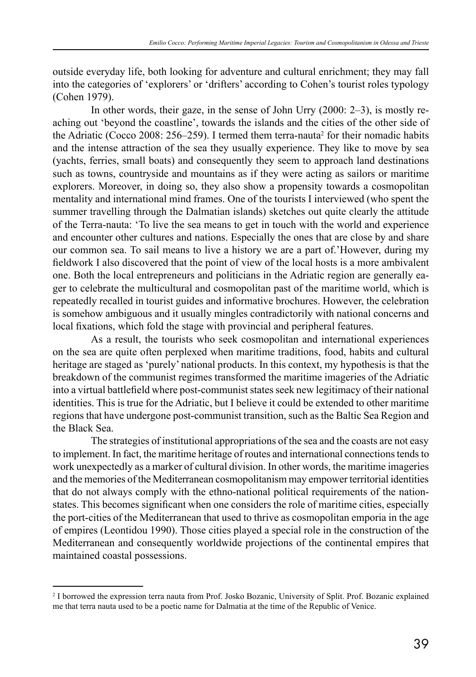outside everyday life, both looking for adventure and cultural enrichment; they may fall into the categories of 'explorers' or 'drifters' according to Cohen's tourist roles typology (Cohen 1979).

In other words, their gaze, in the sense of John Urry (2000: 2–3), is mostly reaching out 'beyond the coastline', towards the islands and the cities of the other side of the Adriatic (Cocco 2008: 256–259). I termed them terra-nauta<sup>2</sup> for their nomadic habits and the intense attraction of the sea they usually experience. They like to move by sea (yachts, ferries, small boats) and consequently they seem to approach land destinations such as towns, countryside and mountains as if they were acting as sailors or maritime explorers. Moreover, in doing so, they also show a propensity towards a cosmopolitan mentality and international mind frames. One of the tourists I interviewed (who spent the summer travelling through the Dalmatian islands) sketches out quite clearly the attitude of the Terra-nauta: 'To live the sea means to get in touch with the world and experience and encounter other cultures and nations. Especially the ones that are close by and share our common sea. To sail means to live a history we are a part of.'However, during my fieldwork I also discovered that the point of view of the local hosts is a more ambivalent one. Both the local entrepreneurs and politicians in the Adriatic region are generally eager to celebrate the multicultural and cosmopolitan past of the maritime world, which is repeatedly recalled in tourist guides and informative brochures. However, the celebration is somehow ambiguous and it usually mingles contradictorily with national concerns and local fixations, which fold the stage with provincial and peripheral features.

As a result, the tourists who seek cosmopolitan and international experiences on the sea are quite often perplexed when maritime traditions, food, habits and cultural heritage are staged as 'purely' national products. In this context, my hypothesis is that the breakdown of the communist regimes transformed the maritime imageries of the Adriatic into a virtual battlefield where post-communist states seek new legitimacy of their national identities. This is true for the Adriatic, but I believe it could be extended to other maritime regions that have undergone post-communist transition, such as the Baltic Sea Region and the Black Sea.

The strategies of institutional appropriations of the sea and the coasts are not easy to implement. In fact, the maritime heritage of routes and international connections tends to work unexpectedly as a marker of cultural division. In other words, the maritime imageries and the memories of the Mediterranean cosmopolitanism may empower territorial identities that do not always comply with the ethno-national political requirements of the nationstates. This becomes significant when one considers the role of maritime cities, especially the port-cities of the Mediterranean that used to thrive as cosmopolitan emporia in the age of empires (Leontidou 1990). Those cities played a special role in the construction of the Mediterranean and consequently worldwide projections of the continental empires that maintained coastal possessions.

<sup>2</sup> I borrowed the expression terra nauta from Prof. Josko Bozanic, University of Split. Prof. Bozanic explained me that terra nauta used to be a poetic name for Dalmatia at the time of the Republic of Venice.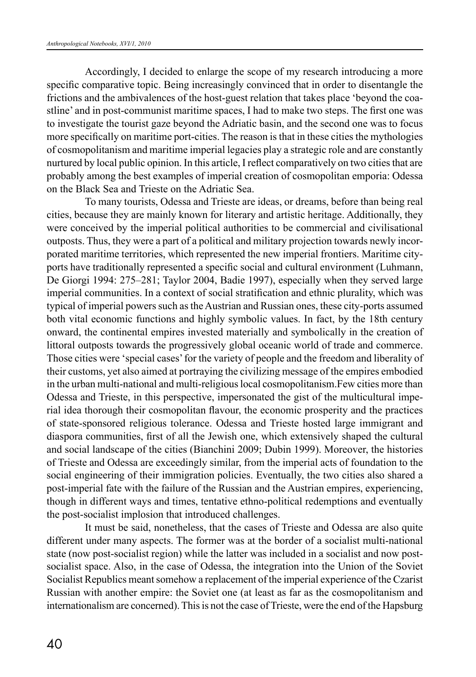Accordingly, I decided to enlarge the scope of my research introducing a more specific comparative topic. Being increasingly convinced that in order to disentangle the frictions and the ambivalences of the host-guest relation that takes place 'beyond the coastline' and in post-communist maritime spaces, I had to make two steps. The first one was to investigate the tourist gaze beyond the Adriatic basin, and the second one was to focus more specifically on maritime port-cities. The reason is that in these cities the mythologies of cosmopolitanism and maritime imperial legacies play a strategic role and are constantly nurtured by local public opinion. In this article, I reflect comparatively on two cities that are probably among the best examples of imperial creation of cosmopolitan emporia: Odessa on the Black Sea and Trieste on the Adriatic Sea.

To many tourists, Odessa and Trieste are ideas, or dreams, before than being real cities, because they are mainly known for literary and artistic heritage. Additionally, they were conceived by the imperial political authorities to be commercial and civilisational outposts. Thus, they were a part of a political and military projection towards newly incorporated maritime territories, which represented the new imperial frontiers. Maritime cityports have traditionally represented a specific social and cultural environment (Luhmann, De Giorgi 1994: 275–281; Taylor 2004, Badie 1997), especially when they served large imperial communities. In a context of social stratification and ethnic plurality, which was typical of imperial powers such as the Austrian and Russian ones, these city-ports assumed both vital economic functions and highly symbolic values. In fact, by the 18th century onward, the continental empires invested materially and symbolically in the creation of littoral outposts towards the progressively global oceanic world of trade and commerce. Those cities were 'special cases' for the variety of people and the freedom and liberality of their customs, yet also aimed at portraying the civilizing message of the empires embodied in the urban multi-national and multi-religious local cosmopolitanism.Few cities more than Odessa and Trieste, in this perspective, impersonated the gist of the multicultural imperial idea thorough their cosmopolitan flavour, the economic prosperity and the practices of state-sponsored religious tolerance. Odessa and Trieste hosted large immigrant and diaspora communities, first of all the Jewish one, which extensively shaped the cultural and social landscape of the cities (Bianchini 2009; Dubin 1999). Moreover, the histories of Trieste and Odessa are exceedingly similar, from the imperial acts of foundation to the social engineering of their immigration policies. Eventually, the two cities also shared a post-imperial fate with the failure of the Russian and the Austrian empires, experiencing, though in different ways and times, tentative ethno-political redemptions and eventually the post-socialist implosion that introduced challenges.

It must be said, nonetheless, that the cases of Trieste and Odessa are also quite different under many aspects. The former was at the border of a socialist multi-national state (now post-socialist region) while the latter was included in a socialist and now postsocialist space. Also, in the case of Odessa, the integration into the Union of the Soviet Socialist Republics meant somehow a replacement of the imperial experience of the Czarist Russian with another empire: the Soviet one (at least as far as the cosmopolitanism and internationalism are concerned). This is not the case of Trieste, were the end of the Hapsburg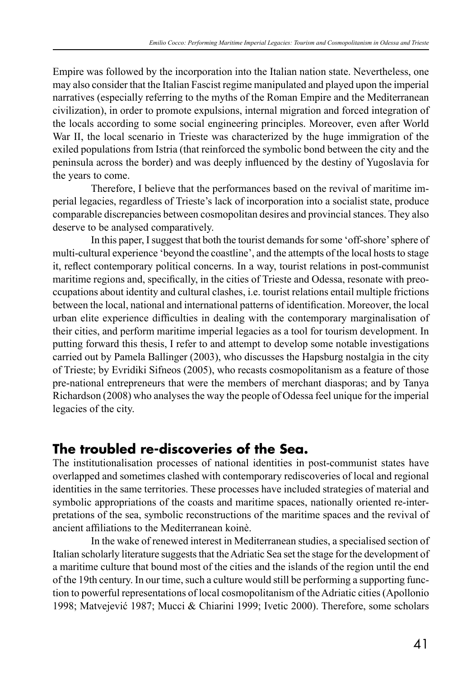Empire was followed by the incorporation into the Italian nation state. Nevertheless, one may also consider that the Italian Fascist regime manipulated and played upon the imperial narratives (especially referring to the myths of the Roman Empire and the Mediterranean civilization), in order to promote expulsions, internal migration and forced integration of the locals according to some social engineering principles. Moreover, even after World War II, the local scenario in Trieste was characterized by the huge immigration of the exiled populations from Istria (that reinforced the symbolic bond between the city and the peninsula across the border) and was deeply influenced by the destiny of Yugoslavia for the years to come.

Therefore, I believe that the performances based on the revival of maritime imperial legacies, regardless of Trieste's lack of incorporation into a socialist state, produce comparable discrepancies between cosmopolitan desires and provincial stances. They also deserve to be analysed comparatively.

In this paper, I suggest that both the tourist demands for some 'off-shore' sphere of multi-cultural experience 'beyond the coastline', and the attempts of the local hosts to stage it, reflect contemporary political concerns. In a way, tourist relations in post-communist maritime regions and, specifically, in the cities of Trieste and Odessa, resonate with preoccupations about identity and cultural clashes, i.e. tourist relations entail multiple frictions between the local, national and international patterns of identification. Moreover, the local urban elite experience difficulties in dealing with the contemporary marginalisation of their cities, and perform maritime imperial legacies as a tool for tourism development. In putting forward this thesis, I refer to and attempt to develop some notable investigations carried out by Pamela Ballinger (2003), who discusses the Hapsburg nostalgia in the city of Trieste; by Evridiki Sifneos (2005), who recasts cosmopolitanism as a feature of those pre-national entrepreneurs that were the members of merchant diasporas; and by Tanya Richardson (2008) who analyses the way the people of Odessa feel unique for the imperial legacies of the city.

# **The troubled re-discoveries of the Sea.**

The institutionalisation processes of national identities in post-communist states have overlapped and sometimes clashed with contemporary rediscoveries of local and regional identities in the same territories. These processes have included strategies of material and symbolic appropriations of the coasts and maritime spaces, nationally oriented re-interpretations of the sea, symbolic reconstructions of the maritime spaces and the revival of ancient affiliations to the Mediterranean koinè.

In the wake of renewed interest in Mediterranean studies, a specialised section of Italian scholarly literature suggests that the Adriatic Sea set the stage for the development of a maritime culture that bound most of the cities and the islands of the region until the end of the 19th century. In our time, such a culture would still be performing a supporting function to powerful representations of local cosmopolitanism of the Adriatic cities (Apollonio 1998; Matvejević 1987; Mucci & Chiarini 1999; Ivetic 2000). Therefore, some scholars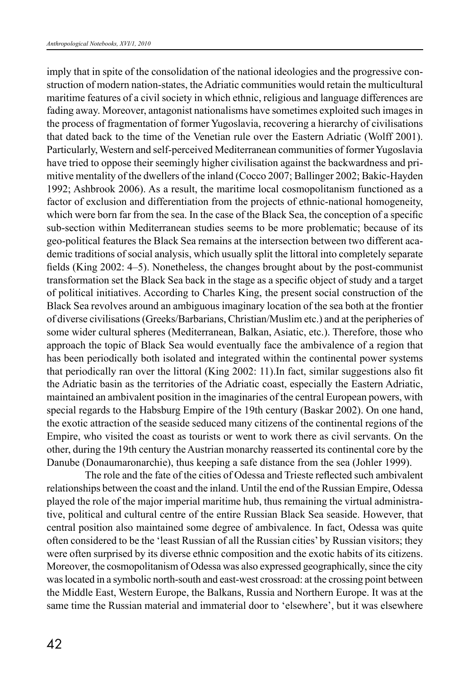imply that in spite of the consolidation of the national ideologies and the progressive construction of modern nation-states, the Adriatic communities would retain the multicultural maritime features of a civil society in which ethnic, religious and language differences are fading away. Moreover, antagonist nationalisms have sometimes exploited such images in the process of fragmentation of former Yugoslavia, recovering a hierarchy of civilisations that dated back to the time of the Venetian rule over the Eastern Adriatic (Wolff 2001). Particularly, Western and self-perceived Mediterranean communities of former Yugoslavia have tried to oppose their seemingly higher civilisation against the backwardness and primitive mentality of the dwellers of the inland (Cocco 2007; Ballinger 2002; Bakic-Hayden 1992; Ashbrook 2006). As a result, the maritime local cosmopolitanism functioned as a factor of exclusion and differentiation from the projects of ethnic-national homogeneity, which were born far from the sea. In the case of the Black Sea, the conception of a specific sub-section within Mediterranean studies seems to be more problematic; because of its geo-political features the Black Sea remains at the intersection between two different academic traditions of social analysis, which usually split the littoral into completely separate fields (King 2002: 4–5). Nonetheless, the changes brought about by the post-communist transformation set the Black Sea back in the stage as a specific object of study and a target of political initiatives. According to Charles King, the present social construction of the Black Sea revolves around an ambiguous imaginary location of the sea both at the frontier of diverse civilisations (Greeks/Barbarians, Christian/Muslim etc.) and at the peripheries of some wider cultural spheres (Mediterranean, Balkan, Asiatic, etc.). Therefore, those who approach the topic of Black Sea would eventually face the ambivalence of a region that has been periodically both isolated and integrated within the continental power systems that periodically ran over the littoral (King 2002: 11).In fact, similar suggestions also fit the Adriatic basin as the territories of the Adriatic coast, especially the Eastern Adriatic, maintained an ambivalent position in the imaginaries of the central European powers, with special regards to the Habsburg Empire of the 19th century (Baskar 2002). On one hand, the exotic attraction of the seaside seduced many citizens of the continental regions of the Empire, who visited the coast as tourists or went to work there as civil servants. On the other, during the 19th century the Austrian monarchy reasserted its continental core by the Danube (Donaumaronarchie), thus keeping a safe distance from the sea (Johler 1999).

The role and the fate of the cities of Odessa and Trieste reflected such ambivalent relationships between the coast and the inland. Until the end of the Russian Empire, Odessa played the role of the major imperial maritime hub, thus remaining the virtual administrative, political and cultural centre of the entire Russian Black Sea seaside. However, that central position also maintained some degree of ambivalence. In fact, Odessa was quite often considered to be the 'least Russian of all the Russian cities' by Russian visitors; they were often surprised by its diverse ethnic composition and the exotic habits of its citizens. Moreover, the cosmopolitanism of Odessa was also expressed geographically, since the city was located in a symbolic north-south and east-west crossroad: at the crossing point between the Middle East, Western Europe, the Balkans, Russia and Northern Europe. It was at the same time the Russian material and immaterial door to 'elsewhere', but it was elsewhere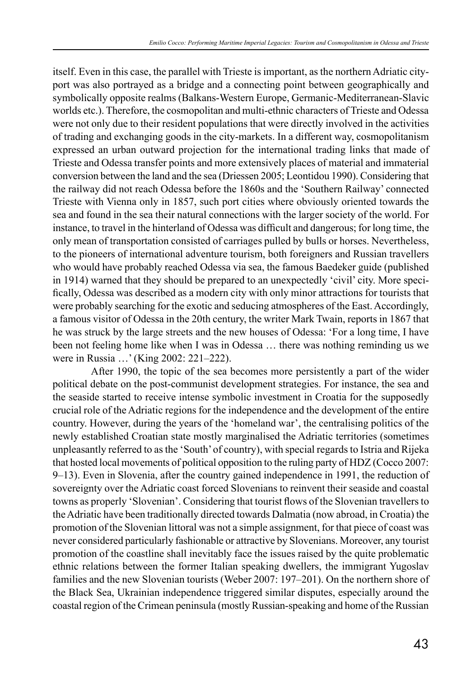itself. Even in this case, the parallel with Trieste is important, as the northern Adriatic cityport was also portrayed as a bridge and a connecting point between geographically and symbolically opposite realms (Balkans-Western Europe, Germanic-Mediterranean-Slavic worlds etc.). Therefore, the cosmopolitan and multi-ethnic characters of Trieste and Odessa were not only due to their resident populations that were directly involved in the activities of trading and exchanging goods in the city-markets. In a different way, cosmopolitanism expressed an urban outward projection for the international trading links that made of Trieste and Odessa transfer points and more extensively places of material and immaterial conversion between the land and the sea (Driessen 2005; Leontidou 1990). Considering that the railway did not reach Odessa before the 1860s and the 'Southern Railway' connected Trieste with Vienna only in 1857, such port cities where obviously oriented towards the sea and found in the sea their natural connections with the larger society of the world. For instance, to travel in the hinterland of Odessa was difficult and dangerous; for long time, the only mean of transportation consisted of carriages pulled by bulls or horses. Nevertheless, to the pioneers of international adventure tourism, both foreigners and Russian travellers who would have probably reached Odessa via sea, the famous Baedeker guide (published in 1914) warned that they should be prepared to an unexpectedly 'civil' city. More specifically, Odessa was described as a modern city with only minor attractions for tourists that were probably searching for the exotic and seducing atmospheres of the East. Accordingly, a famous visitor of Odessa in the 20th century, the writer Mark Twain, reports in 1867 that he was struck by the large streets and the new houses of Odessa: 'For a long time, I have been not feeling home like when I was in Odessa … there was nothing reminding us we were in Russia …' (King 2002: 221–222).

After 1990, the topic of the sea becomes more persistently a part of the wider political debate on the post-communist development strategies. For instance, the sea and the seaside started to receive intense symbolic investment in Croatia for the supposedly crucial role of the Adriatic regions for the independence and the development of the entire country. However, during the years of the 'homeland war', the centralising politics of the newly established Croatian state mostly marginalised the Adriatic territories (sometimes unpleasantly referred to as the 'South' of country), with special regards to Istria and Rijeka that hosted local movements of political opposition to the ruling party of HDZ (Cocco 2007: 9–13). Even in Slovenia, after the country gained independence in 1991, the reduction of sovereignty over the Adriatic coast forced Slovenians to reinvent their seaside and coastal towns as properly 'Slovenian'. Considering that tourist flows of the Slovenian travellers to the Adriatic have been traditionally directed towards Dalmatia (now abroad, in Croatia) the promotion of the Slovenian littoral was not a simple assignment, for that piece of coast was never considered particularly fashionable or attractive by Slovenians. Moreover, any tourist promotion of the coastline shall inevitably face the issues raised by the quite problematic ethnic relations between the former Italian speaking dwellers, the immigrant Yugoslav families and the new Slovenian tourists (Weber 2007: 197–201). On the northern shore of the Black Sea, Ukrainian independence triggered similar disputes, especially around the coastal region of the Crimean peninsula (mostly Russian-speaking and home of the Russian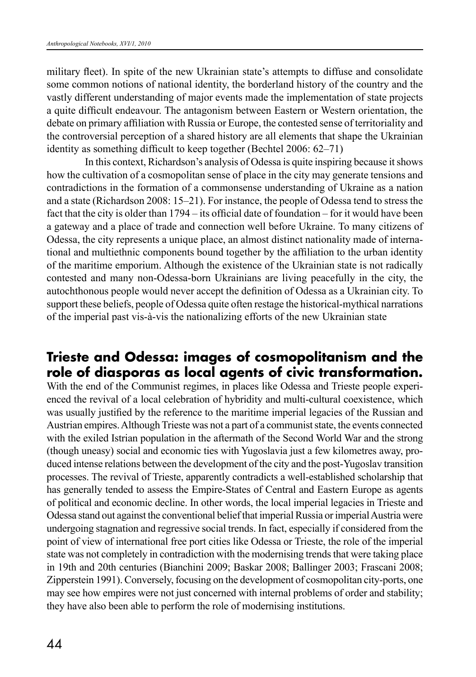military fleet). In spite of the new Ukrainian state's attempts to diffuse and consolidate some common notions of national identity, the borderland history of the country and the vastly different understanding of major events made the implementation of state projects a quite difficult endeavour. The antagonism between Eastern or Western orientation, the debate on primary affiliation with Russia or Europe, the contested sense of territoriality and the controversial perception of a shared history are all elements that shape the Ukrainian identity as something difficult to keep together (Bechtel 2006: 62–71)

In this context, Richardson's analysis of Odessa is quite inspiring because it shows how the cultivation of a cosmopolitan sense of place in the city may generate tensions and contradictions in the formation of a commonsense understanding of Ukraine as a nation and a state (Richardson 2008: 15–21). For instance, the people of Odessa tend to stress the fact that the city is older than 1794 – its official date of foundation – for it would have been a gateway and a place of trade and connection well before Ukraine. To many citizens of Odessa, the city represents a unique place, an almost distinct nationality made of international and multiethnic components bound together by the affiliation to the urban identity of the maritime emporium. Although the existence of the Ukrainian state is not radically contested and many non-Odessa-born Ukrainians are living peacefully in the city, the autochthonous people would never accept the definition of Odessa as a Ukrainian city. To support these beliefs, people of Odessa quite often restage the historical-mythical narrations of the imperial past vis-à-vis the nationalizing efforts of the new Ukrainian state

### **Trieste and Odessa: images of cosmopolitanism and the role of diasporas as local agents of civic transformation.**

With the end of the Communist regimes, in places like Odessa and Trieste people experienced the revival of a local celebration of hybridity and multi-cultural coexistence, which was usually justified by the reference to the maritime imperial legacies of the Russian and Austrian empires. Although Trieste was not a part of a communist state, the events connected with the exiled Istrian population in the aftermath of the Second World War and the strong (though uneasy) social and economic ties with Yugoslavia just a few kilometres away, produced intense relations between the development of the city and the post-Yugoslav transition processes. The revival of Trieste, apparently contradicts a well-established scholarship that has generally tended to assess the Empire-States of Central and Eastern Europe as agents of political and economic decline. In other words, the local imperial legacies in Trieste and Odessa stand out against the conventional belief that imperial Russia or imperial Austria were undergoing stagnation and regressive social trends. In fact, especially if considered from the point of view of international free port cities like Odessa or Trieste, the role of the imperial state was not completely in contradiction with the modernising trends that were taking place in 19th and 20th centuries (Bianchini 2009; Baskar 2008; Ballinger 2003; Frascani 2008; Zipperstein 1991). Conversely, focusing on the development of cosmopolitan city-ports, one may see how empires were not just concerned with internal problems of order and stability; they have also been able to perform the role of modernising institutions.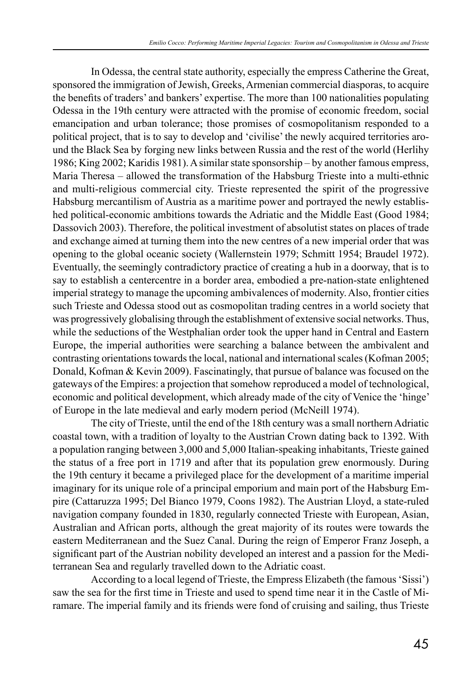In Odessa, the central state authority, especially the empress Catherine the Great, sponsored the immigration of Jewish, Greeks, Armenian commercial diasporas, to acquire the benefits of traders' and bankers' expertise. The more than 100 nationalities populating Odessa in the 19th century were attracted with the promise of economic freedom, social emancipation and urban tolerance; those promises of cosmopolitanism responded to a political project, that is to say to develop and 'civilise' the newly acquired territories around the Black Sea by forging new links between Russia and the rest of the world (Herlihy 1986; King 2002; Karidis 1981). A similar state sponsorship – by another famous empress, Maria Theresa – allowed the transformation of the Habsburg Trieste into a multi-ethnic and multi-religious commercial city. Trieste represented the spirit of the progressive Habsburg mercantilism of Austria as a maritime power and portrayed the newly established political-economic ambitions towards the Adriatic and the Middle East (Good 1984; Dassovich 2003). Therefore, the political investment of absolutist states on places of trade and exchange aimed at turning them into the new centres of a new imperial order that was opening to the global oceanic society (Wallernstein 1979; Schmitt 1954; Braudel 1972). Eventually, the seemingly contradictory practice of creating a hub in a doorway, that is to say to establish a centercentre in a border area, embodied a pre-nation-state enlightened imperial strategy to manage the upcoming ambivalences of modernity. Also, frontier cities such Trieste and Odessa stood out as cosmopolitan trading centres in a world society that was progressively globalising through the establishment of extensive social networks. Thus, while the seductions of the Westphalian order took the upper hand in Central and Eastern Europe, the imperial authorities were searching a balance between the ambivalent and contrasting orientations towards the local, national and international scales (Kofman 2005; Donald, Kofman & Kevin 2009). Fascinatingly, that pursue of balance was focused on the gateways of the Empires: a projection that somehow reproduced a model of technological, economic and political development, which already made of the city of Venice the 'hinge' of Europe in the late medieval and early modern period (McNeill 1974).

The city of Trieste, until the end of the 18th century was a small northern Adriatic coastal town, with a tradition of loyalty to the Austrian Crown dating back to 1392. With a population ranging between 3,000 and 5,000 Italian-speaking inhabitants, Trieste gained the status of a free port in 1719 and after that its population grew enormously. During the 19th century it became a privileged place for the development of a maritime imperial imaginary for its unique role of a principal emporium and main port of the Habsburg Empire (Cattaruzza 1995; Del Bianco 1979, Coons 1982). The Austrian Lloyd, a state-ruled navigation company founded in 1830, regularly connected Trieste with European, Asian, Australian and African ports, although the great majority of its routes were towards the eastern Mediterranean and the Suez Canal. During the reign of Emperor Franz Joseph, a significant part of the Austrian nobility developed an interest and a passion for the Mediterranean Sea and regularly travelled down to the Adriatic coast.

According to a local legend of Trieste, the Empress Elizabeth (the famous 'Sissi') saw the sea for the first time in Trieste and used to spend time near it in the Castle of Miramare. The imperial family and its friends were fond of cruising and sailing, thus Trieste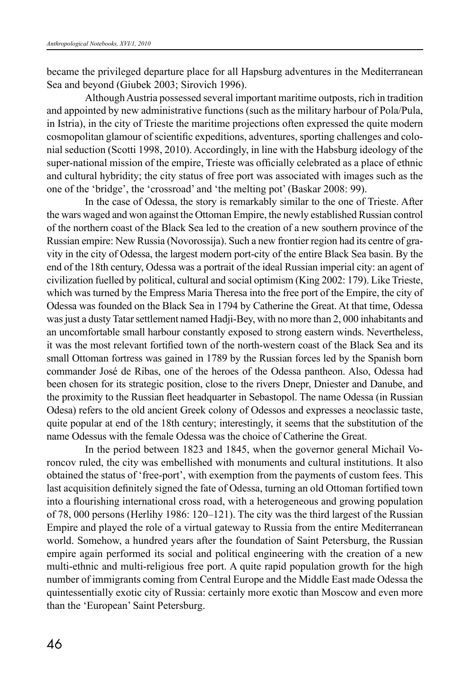became the privileged departure place for all Hapsburg adventures in the Mediterranean Sea and beyond (Giubek 2003; Sirovich 1996).

Although Austria possessed several important maritime outposts, rich in tradition and appointed by new administrative functions (such as the military harbour of Pola/Pula, in Istria), in the city of Trieste the maritime projections often expressed the quite modern cosmopolitan glamour of scientific expeditions, adventures, sporting challenges and colonial seduction (Scotti 1998, 2010). Accordingly, in line with the Habsburg ideology of the super-national mission of the empire, Trieste was officially celebrated as a place of ethnic and cultural hybridity; the city status of free port was associated with images such as the one of the 'bridge', the 'crossroad' and 'the melting pot' (Baskar 2008: 99).

In the case of Odessa, the story is remarkably similar to the one of Trieste. After the wars waged and won against the Ottoman Empire, the newly established Russian control of the northern coast of the Black Sea led to the creation of a new southern province of the Russian empire: New Russia (Novorossija). Such a new frontier region had its centre of gravity in the city of Odessa, the largest modern port-city of the entire Black Sea basin. By the end of the 18th century, Odessa was a portrait of the ideal Russian imperial city: an agent of civilization fuelled by political, cultural and social optimism (King 2002: 179). Like Trieste, which was turned by the Empress Maria Theresa into the free port of the Empire, the city of Odessa was founded on the Black Sea in 1794 by Catherine the Great. At that time, Odessa was just a dusty Tatar settlement named Hadji-Bey, with no more than 2, 000 inhabitants and an uncomfortable small harbour constantly exposed to strong eastern winds. Nevertheless, it was the most relevant fortified town of the north-western coast of the Black Sea and its small Ottoman fortress was gained in 1789 by the Russian forces led by the Spanish born commander José de Ribas, one of the heroes of the Odessa pantheon. Also, Odessa had been chosen for its strategic position, close to the rivers Dnepr, Dniester and Danube, and the proximity to the Russian fleet headquarter in Sebastopol. The name Odessa (in Russian Odesa) refers to the old ancient Greek colony of Odessos and expresses a neoclassic taste, quite popular at end of the 18th century; interestingly, it seems that the substitution of the name Odessus with the female Odessa was the choice of Catherine the Great.

In the period between 1823 and 1845, when the governor general Michail Voroncov ruled, the city was embellished with monuments and cultural institutions. It also obtained the status of 'free-port', with exemption from the payments of custom fees. This last acquisition definitely signed the fate of Odessa, turning an old Ottoman fortified town into a flourishing international cross road, with a heterogeneous and growing population of 78, 000 persons (Herlihy 1986: 120–121). The city was the third largest of the Russian Empire and played the role of a virtual gateway to Russia from the entire Mediterranean world. Somehow, a hundred years after the foundation of Saint Petersburg, the Russian empire again performed its social and political engineering with the creation of a new multi-ethnic and multi-religious free port. A quite rapid population growth for the high number of immigrants coming from Central Europe and the Middle East made Odessa the quintessentially exotic city of Russia: certainly more exotic than Moscow and even more than the 'European' Saint Petersburg.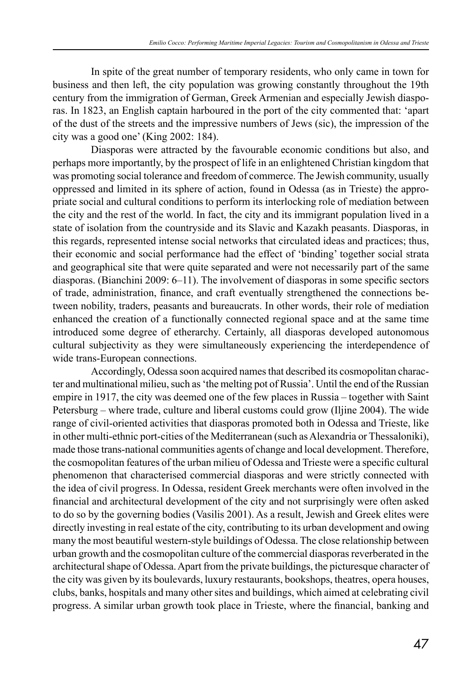In spite of the great number of temporary residents, who only came in town for business and then left, the city population was growing constantly throughout the 19th century from the immigration of German, Greek Armenian and especially Jewish diasporas. In 1823, an English captain harboured in the port of the city commented that: 'apart of the dust of the streets and the impressive numbers of Jews (sic), the impression of the city was a good one' (King 2002: 184).

Diasporas were attracted by the favourable economic conditions but also, and perhaps more importantly, by the prospect of life in an enlightened Christian kingdom that was promoting social tolerance and freedom of commerce. The Jewish community, usually oppressed and limited in its sphere of action, found in Odessa (as in Trieste) the appropriate social and cultural conditions to perform its interlocking role of mediation between the city and the rest of the world. In fact, the city and its immigrant population lived in a state of isolation from the countryside and its Slavic and Kazakh peasants. Diasporas, in this regards, represented intense social networks that circulated ideas and practices; thus, their economic and social performance had the effect of 'binding' together social strata and geographical site that were quite separated and were not necessarily part of the same diasporas. (Bianchini 2009: 6–11). The involvement of diasporas in some specific sectors of trade, administration, finance, and craft eventually strengthened the connections between nobility, traders, peasants and bureaucrats. In other words, their role of mediation enhanced the creation of a functionally connected regional space and at the same time introduced some degree of etherarchy. Certainly, all diasporas developed autonomous cultural subjectivity as they were simultaneously experiencing the interdependence of wide trans-European connections.

Accordingly, Odessa soon acquired names that described its cosmopolitan character and multinational milieu, such as 'the melting pot of Russia'. Until the end of the Russian empire in 1917, the city was deemed one of the few places in Russia – together with Saint Petersburg – where trade, culture and liberal customs could grow (Iljine 2004). The wide range of civil-oriented activities that diasporas promoted both in Odessa and Trieste, like in other multi-ethnic port-cities of the Mediterranean (such as Alexandria or Thessaloniki), made those trans-national communities agents of change and local development. Therefore, the cosmopolitan features of the urban milieu of Odessa and Trieste were a specific cultural phenomenon that characterised commercial diasporas and were strictly connected with the idea of civil progress. In Odessa, resident Greek merchants were often involved in the financial and architectural development of the city and not surprisingly were often asked to do so by the governing bodies (Vasilis 2001). As a result, Jewish and Greek elites were directly investing in real estate of the city, contributing to its urban development and owing many the most beautiful western-style buildings of Odessa. The close relationship between urban growth and the cosmopolitan culture of the commercial diasporas reverberated in the architectural shape of Odessa. Apart from the private buildings, the picturesque character of the city was given by its boulevards, luxury restaurants, bookshops, theatres, opera houses, clubs, banks, hospitals and many other sites and buildings, which aimed at celebrating civil progress. A similar urban growth took place in Trieste, where the financial, banking and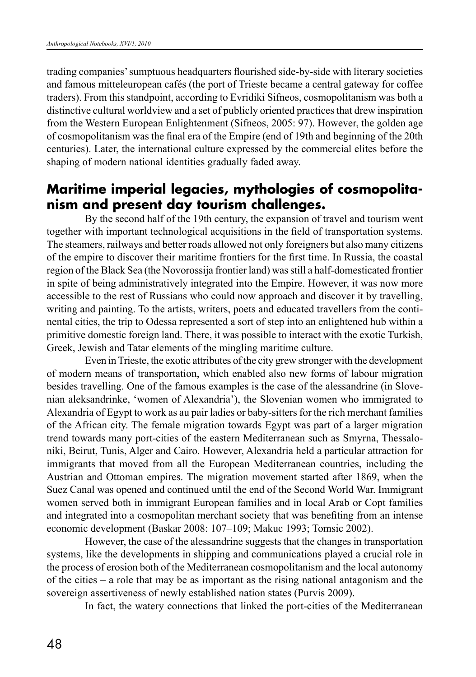trading companies' sumptuous headquarters flourished side-by-side with literary societies and famous mitteleuropean cafés (the port of Trieste became a central gateway for coffee traders). From this standpoint, according to Evridiki Sifneos, cosmopolitanism was both a distinctive cultural worldview and a set of publicly oriented practices that drew inspiration from the Western European Enlightenment (Sifneos, 2005: 97). However, the golden age of cosmopolitanism was the final era of the Empire (end of 19th and beginning of the 20th centuries). Later, the international culture expressed by the commercial elites before the shaping of modern national identities gradually faded away.

#### **Maritime imperial legacies, mythologies of cosmopolitanism and present day tourism challenges.**

By the second half of the 19th century, the expansion of travel and tourism went together with important technological acquisitions in the field of transportation systems. The steamers, railways and better roads allowed not only foreigners but also many citizens of the empire to discover their maritime frontiers for the first time. In Russia, the coastal region of the Black Sea (the Novorossija frontier land) was still a half-domesticated frontier in spite of being administratively integrated into the Empire. However, it was now more accessible to the rest of Russians who could now approach and discover it by travelling, writing and painting. To the artists, writers, poets and educated travellers from the continental cities, the trip to Odessa represented a sort of step into an enlightened hub within a primitive domestic foreign land. There, it was possible to interact with the exotic Turkish, Greek, Jewish and Tatar elements of the mingling maritime culture.

Even in Trieste, the exotic attributes of the city grew stronger with the development of modern means of transportation, which enabled also new forms of labour migration besides travelling. One of the famous examples is the case of the alessandrine (in Slovenian aleksandrinke, 'women of Alexandria'), the Slovenian women who immigrated to Alexandria of Egypt to work as au pair ladies or baby-sitters for the rich merchant families of the African city. The female migration towards Egypt was part of a larger migration trend towards many port-cities of the eastern Mediterranean such as Smyrna, Thessaloniki, Beirut, Tunis, Alger and Cairo. However, Alexandria held a particular attraction for immigrants that moved from all the European Mediterranean countries, including the Austrian and Ottoman empires. The migration movement started after 1869, when the Suez Canal was opened and continued until the end of the Second World War. Immigrant women served both in immigrant European families and in local Arab or Copt families and integrated into a cosmopolitan merchant society that was benefiting from an intense economic development (Baskar 2008: 107–109; Makuc 1993; Tomsic 2002).

However, the case of the alessandrine suggests that the changes in transportation systems, like the developments in shipping and communications played a crucial role in the process of erosion both of the Mediterranean cosmopolitanism and the local autonomy of the cities – a role that may be as important as the rising national antagonism and the sovereign assertiveness of newly established nation states (Purvis 2009).

In fact, the watery connections that linked the port-cities of the Mediterranean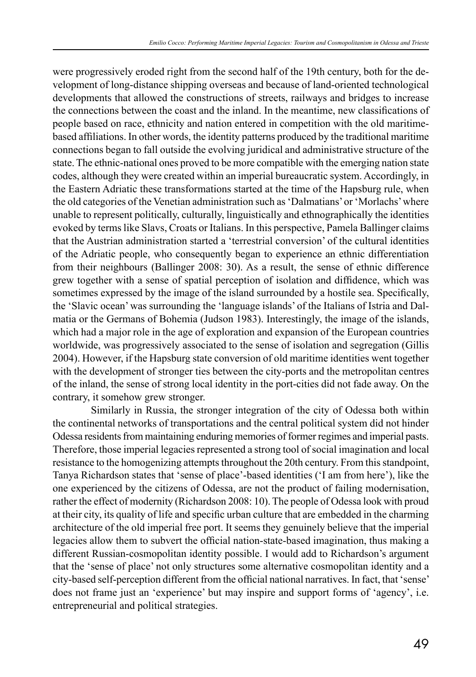were progressively eroded right from the second half of the 19th century, both for the development of long-distance shipping overseas and because of land-oriented technological developments that allowed the constructions of streets, railways and bridges to increase the connections between the coast and the inland. In the meantime, new classifications of people based on race, ethnicity and nation entered in competition with the old maritimebased affiliations. In other words, the identity patterns produced by the traditional maritime connections began to fall outside the evolving juridical and administrative structure of the state. The ethnic-national ones proved to be more compatible with the emerging nation state codes, although they were created within an imperial bureaucratic system. Accordingly, in the Eastern Adriatic these transformations started at the time of the Hapsburg rule, when the old categories of the Venetian administration such as 'Dalmatians' or 'Morlachs' where unable to represent politically, culturally, linguistically and ethnographically the identities evoked by terms like Slavs, Croats or Italians. In this perspective, Pamela Ballinger claims that the Austrian administration started a 'terrestrial conversion' of the cultural identities of the Adriatic people, who consequently began to experience an ethnic differentiation from their neighbours (Ballinger 2008: 30). As a result, the sense of ethnic difference grew together with a sense of spatial perception of isolation and diffidence, which was sometimes expressed by the image of the island surrounded by a hostile sea. Specifically, the 'Slavic ocean' was surrounding the 'language islands' of the Italians of Istria and Dalmatia or the Germans of Bohemia (Judson 1983). Interestingly, the image of the islands, which had a major role in the age of exploration and expansion of the European countries worldwide, was progressively associated to the sense of isolation and segregation (Gillis 2004). However, if the Hapsburg state conversion of old maritime identities went together with the development of stronger ties between the city-ports and the metropolitan centres of the inland, the sense of strong local identity in the port-cities did not fade away. On the contrary, it somehow grew stronger.

Similarly in Russia, the stronger integration of the city of Odessa both within the continental networks of transportations and the central political system did not hinder Odessa residents from maintaining enduring memories of former regimes and imperial pasts. Therefore, those imperial legacies represented a strong tool of social imagination and local resistance to the homogenizing attempts throughout the 20th century. From this standpoint, Tanya Richardson states that 'sense of place'-based identities ('I am from here'), like the one experienced by the citizens of Odessa, are not the product of failing modernisation, rather the effect of modernity (Richardson 2008: 10). The people of Odessa look with proud at their city, its quality of life and specific urban culture that are embedded in the charming architecture of the old imperial free port. It seems they genuinely believe that the imperial legacies allow them to subvert the official nation-state-based imagination, thus making a different Russian-cosmopolitan identity possible. I would add to Richardson's argument that the 'sense of place' not only structures some alternative cosmopolitan identity and a city-based self-perception different from the official national narratives. In fact, that 'sense' does not frame just an 'experience' but may inspire and support forms of 'agency', i.e. entrepreneurial and political strategies.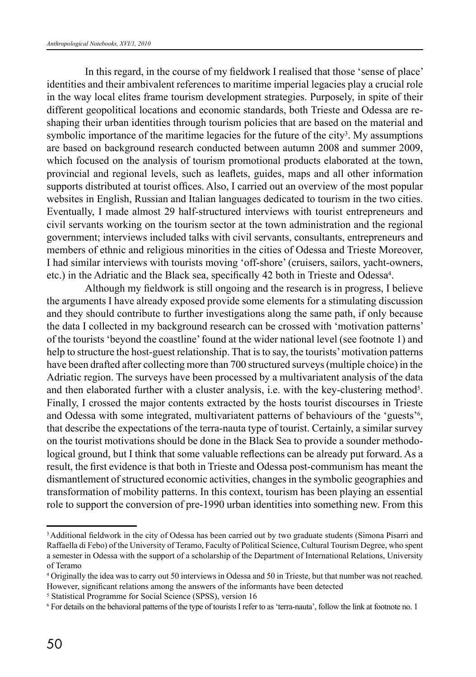In this regard, in the course of my fieldwork I realised that those 'sense of place' identities and their ambivalent references to maritime imperial legacies play a crucial role in the way local elites frame tourism development strategies. Purposely, in spite of their different geopolitical locations and economic standards, both Trieste and Odessa are reshaping their urban identities through tourism policies that are based on the material and symbolic importance of the maritime legacies for the future of the city<sup>3</sup>. My assumptions are based on background research conducted between autumn 2008 and summer 2009, which focused on the analysis of tourism promotional products elaborated at the town, provincial and regional levels, such as leaflets, guides, maps and all other information supports distributed at tourist offices. Also, I carried out an overview of the most popular websites in English, Russian and Italian languages dedicated to tourism in the two cities. Eventually, I made almost 29 half-structured interviews with tourist entrepreneurs and civil servants working on the tourism sector at the town administration and the regional government; interviews included talks with civil servants, consultants, entrepreneurs and members of ethnic and religious minorities in the cities of Odessa and Trieste Moreover, I had similar interviews with tourists moving 'off-shore' (cruisers, sailors, yacht-owners, etc.) in the Adriatic and the Black sea, specifically 42 both in Trieste and Odessa<sup>4</sup>.

Although my fieldwork is still ongoing and the research is in progress, I believe the arguments I have already exposed provide some elements for a stimulating discussion and they should contribute to further investigations along the same path, if only because the data I collected in my background research can be crossed with 'motivation patterns' of the tourists 'beyond the coastline' found at the wider national level (see footnote 1) and help to structure the host-guest relationship. That is to say, the tourists' motivation patterns have been drafted after collecting more than 700 structured surveys (multiple choice) in the Adriatic region. The surveys have been processed by a multivariatent analysis of the data and then elaborated further with a cluster analysis, i.e. with the key-clustering method<sup>5</sup>. Finally, I crossed the major contents extracted by the hosts tourist discourses in Trieste and Odessa with some integrated, multivariatent patterns of behaviours of the 'guests'<sup>6</sup>, that describe the expectations of the terra-nauta type of tourist. Certainly, a similar survey on the tourist motivations should be done in the Black Sea to provide a sounder methodological ground, but I think that some valuable reflections can be already put forward. As a result, the first evidence is that both in Trieste and Odessa post-communism has meant the dismantlement of structured economic activities, changes in the symbolic geographies and transformation of mobility patterns. In this context, tourism has been playing an essential role to support the conversion of pre-1990 urban identities into something new. From this

<sup>3</sup>Additional fieldwork in the city of Odessa has been carried out by two graduate students (Simona Pisarri and Raffaella di Febo) of the University of Teramo, Faculty of Political Science, Cultural Tourism Degree, who spent a semester in Odessa with the support of a scholarship of the Department of International Relations, University of Teramo

<sup>4</sup> Originally the idea was to carry out 50 interviews in Odessa and 50 in Trieste, but that number was not reached. However, significant relations among the answers of the informants have been detected

<sup>5</sup> Statistical Programme for Social Science (SPSS), version 16

<sup>6</sup> For details on the behavioral patterns of the type of tourists I refer to as 'terra-nauta', follow the link at footnote no. 1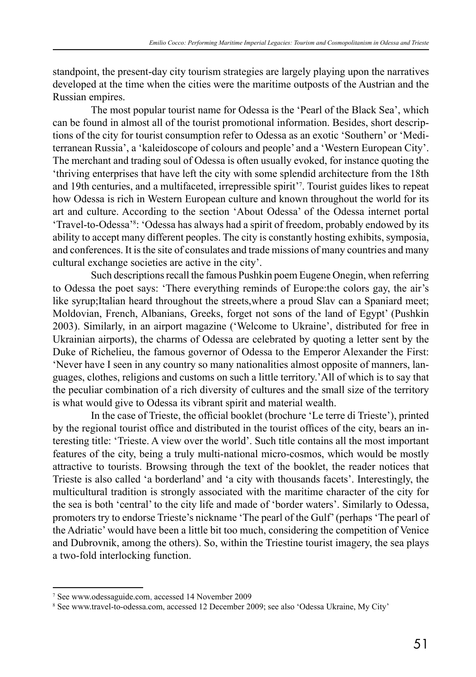standpoint, the present-day city tourism strategies are largely playing upon the narratives developed at the time when the cities were the maritime outposts of the Austrian and the Russian empires.

The most popular tourist name for Odessa is the 'Pearl of the Black Sea', which can be found in almost all of the tourist promotional information. Besides, short descriptions of the city for tourist consumption refer to Odessa as an exotic 'Southern' or 'Mediterranean Russia', a 'kaleidoscope of colours and people' and a 'Western European City'. The merchant and trading soul of Odessa is often usually evoked, for instance quoting the 'thriving enterprises that have left the city with some splendid architecture from the 18th and 19th centuries, and a multifaceted, irrepressible spirit'7 . Tourist guides likes to repeat how Odessa is rich in Western European culture and known throughout the world for its art and culture. According to the section 'About Odessa' of the Odessa internet portal 'Travel-to-Odessa'8 : 'Odessa has always had a spirit of freedom, probably endowed by its ability to accept many different peoples. The city is constantly hosting exhibits, symposia, and conferences. It is the site of consulates and trade missions of many countries and many cultural exchange societies are active in the city'.

Such descriptions recall the famous Pushkin poem Eugene Onegin, when referring to Odessa the poet says: 'There everything reminds of Europe:the colors gay, the air's like syrup;Italian heard throughout the streets,where a proud Slav can a Spaniard meet; Moldovian, French, Albanians, Greeks, forget not sons of the land of Egypt' (Pushkin 2003). Similarly, in an airport magazine ('Welcome to Ukraine', distributed for free in Ukrainian airports), the charms of Odessa are celebrated by quoting a letter sent by the Duke of Richelieu, the famous governor of Odessa to the Emperor Alexander the First: 'Never have I seen in any country so many nationalities almost opposite of manners, languages, clothes, religions and customs on such a little territory.'All of which is to say that the peculiar combination of a rich diversity of cultures and the small size of the territory is what would give to Odessa its vibrant spirit and material wealth.

In the case of Trieste, the official booklet (brochure 'Le terre di Trieste'), printed by the regional tourist office and distributed in the tourist offices of the city, bears an interesting title: 'Trieste. A view over the world'. Such title contains all the most important features of the city, being a truly multi-national micro-cosmos, which would be mostly attractive to tourists. Browsing through the text of the booklet, the reader notices that Trieste is also called 'a borderland' and 'a city with thousands facets'. Interestingly, the multicultural tradition is strongly associated with the maritime character of the city for the sea is both 'central' to the city life and made of 'border waters'. Similarly to Odessa, promoters try to endorse Trieste's nickname 'The pearl of the Gulf' (perhaps 'The pearl of the Adriatic' would have been a little bit too much, considering the competition of Venice and Dubrovnik, among the others). So, within the Triestine tourist imagery, the sea plays a two-fold interlocking function.

<sup>7</sup> See www.odessaguide.com, accessed 14 November 2009

<sup>8</sup> See www.travel-to-odessa.com, accessed 12 December 2009; see also 'Odessa Ukraine, My City'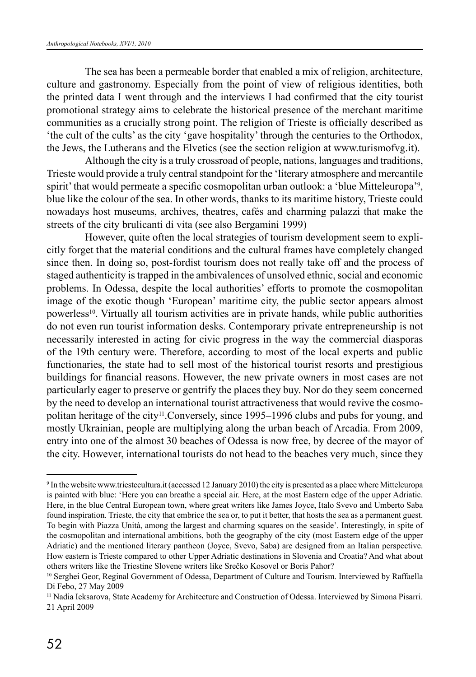The sea has been a permeable border that enabled a mix of religion, architecture, culture and gastronomy. Especially from the point of view of religious identities, both the printed data I went through and the interviews I had confirmed that the city tourist promotional strategy aims to celebrate the historical presence of the merchant maritime communities as a crucially strong point. The religion of Trieste is officially described as 'the cult of the cults' as the city 'gave hospitality' through the centuries to the Orthodox, the Jews, the Lutherans and the Elvetics (see the section religion at www.turismofvg.it).

Although the city is a truly crossroad of people, nations, languages and traditions, Trieste would provide a truly central standpoint for the 'literary atmosphere and mercantile spirit' that would permeate a specific cosmopolitan urban outlook: a 'blue Mitteleuropa'<sup>9</sup>, blue like the colour of the sea. In other words, thanks to its maritime history, Trieste could nowadays host museums, archives, theatres, cafés and charming palazzi that make the streets of the city brulicanti di vita (see also Bergamini 1999)

However, quite often the local strategies of tourism development seem to explicitly forget that the material conditions and the cultural frames have completely changed since then. In doing so, post-fordist tourism does not really take off and the process of staged authenticity is trapped in the ambivalences of unsolved ethnic, social and economic problems. In Odessa, despite the local authorities' efforts to promote the cosmopolitan image of the exotic though 'European' maritime city, the public sector appears almost powerless10. Virtually all tourism activities are in private hands, while public authorities do not even run tourist information desks. Contemporary private entrepreneurship is not necessarily interested in acting for civic progress in the way the commercial diasporas of the 19th century were. Therefore, according to most of the local experts and public functionaries, the state had to sell most of the historical tourist resorts and prestigious buildings for financial reasons. However, the new private owners in most cases are not particularly eager to preserve or gentrify the places they buy. Nor do they seem concerned by the need to develop an international tourist attractiveness that would revive the cosmopolitan heritage of the city<sup>11</sup>. Conversely, since 1995–1996 clubs and pubs for young, and mostly Ukrainian, people are multiplying along the urban beach of Arcadia. From 2009, entry into one of the almost 30 beaches of Odessa is now free, by decree of the mayor of the city. However, international tourists do not head to the beaches very much, since they

<sup>9</sup> In the website www.triestecultura.it (accessed 12 January 2010) the city is presented as a place where Mitteleuropa is painted with blue: 'Here you can breathe a special air. Here, at the most Eastern edge of the upper Adriatic. Here, in the blue Central European town, where great writers like James Joyce, Italo Svevo and Umberto Saba found inspiration. Trieste, the city that embrice the sea or, to put it better, that hosts the sea as a permanent guest. To begin with Piazza Unità, among the largest and charming squares on the seaside'. Interestingly, in spite of the cosmopolitan and international ambitions, both the geography of the city (most Eastern edge of the upper Adriatic) and the mentioned literary pantheon (Joyce, Svevo, Saba) are designed from an Italian perspective. How eastern is Trieste compared to other Upper Adriatic destinations in Slovenia and Croatia? And what about others writers like the Triestine Slovene writers like Srečko Kosovel or Boris Pahor?

<sup>10</sup> Serghei Geor, Reginal Government of Odessa, Department of Culture and Tourism. Interviewed by Raffaella Di Febo, 27 May 2009

<sup>11</sup> Nadia Ieksarova, State Academy for Architecture and Construction of Odessa. Interviewed by Simona Pisarri. 21 April 2009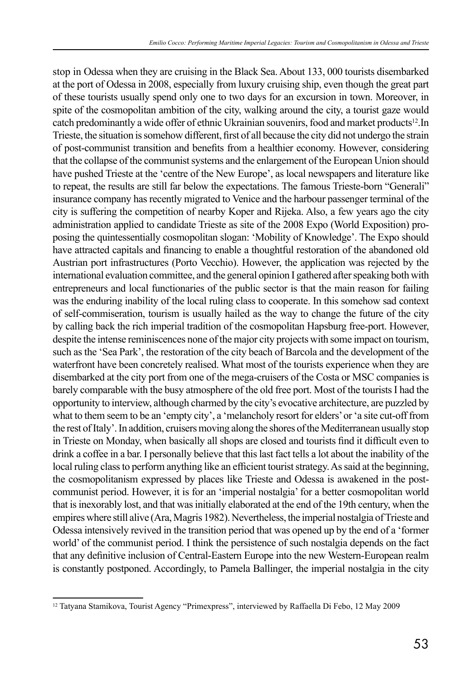stop in Odessa when they are cruising in the Black Sea. About 133, 000 tourists disembarked at the port of Odessa in 2008, especially from luxury cruising ship, even though the great part of these tourists usually spend only one to two days for an excursion in town. Moreover, in spite of the cosmopolitan ambition of the city, walking around the city, a tourist gaze would catch predominantly a wide offer of ethnic Ukrainian souvenirs, food and market products12.In Trieste, the situation is somehow different, first of all because the city did not undergo the strain of post-communist transition and benefits from a healthier economy. However, considering that the collapse of the communist systems and the enlargement of the European Union should have pushed Trieste at the 'centre of the New Europe', as local newspapers and literature like to repeat, the results are still far below the expectations. The famous Trieste-born "Generali" insurance company has recently migrated to Venice and the harbour passenger terminal of the city is suffering the competition of nearby Koper and Rijeka. Also, a few years ago the city administration applied to candidate Trieste as site of the 2008 Expo (World Exposition) proposing the quintessentially cosmopolitan slogan: 'Mobility of Knowledge'. The Expo should have attracted capitals and financing to enable a thoughtful restoration of the abandoned old Austrian port infrastructures (Porto Vecchio). However, the application was rejected by the international evaluation committee, and the general opinion I gathered after speaking both with entrepreneurs and local functionaries of the public sector is that the main reason for failing was the enduring inability of the local ruling class to cooperate. In this somehow sad context of self-commiseration, tourism is usually hailed as the way to change the future of the city by calling back the rich imperial tradition of the cosmopolitan Hapsburg free-port. However, despite the intense reminiscences none of the major city projects with some impact on tourism, such as the 'Sea Park', the restoration of the city beach of Barcola and the development of the waterfront have been concretely realised. What most of the tourists experience when they are disembarked at the city port from one of the mega-cruisers of the Costa or MSC companies is barely comparable with the busy atmosphere of the old free port. Most of the tourists I had the opportunity to interview, although charmed by the city's evocative architecture, are puzzled by what to them seem to be an 'empty city', a 'melancholy resort for elders' or 'a site cut-off from the rest of Italy'. In addition, cruisers moving along the shores of the Mediterranean usually stop in Trieste on Monday, when basically all shops are closed and tourists find it difficult even to drink a coffee in a bar. I personally believe that this last fact tells a lot about the inability of the local ruling class to perform anything like an efficient tourist strategy. As said at the beginning, the cosmopolitanism expressed by places like Trieste and Odessa is awakened in the postcommunist period. However, it is for an 'imperial nostalgia' for a better cosmopolitan world that is inexorably lost, and that was initially elaborated at the end of the 19th century, when the empires where still alive (Ara, Magris 1982). Nevertheless, the imperial nostalgia of Trieste and Odessa intensively revived in the transition period that was opened up by the end of a 'former world' of the communist period. I think the persistence of such nostalgia depends on the fact that any definitive inclusion of Central-Eastern Europe into the new Western-European realm is constantly postponed. Accordingly, to Pamela Ballinger, the imperial nostalgia in the city

<sup>12</sup> Tatyana Stamikova, Tourist Agency "Primexpress", interviewed by Raffaella Di Febo, 12 May 2009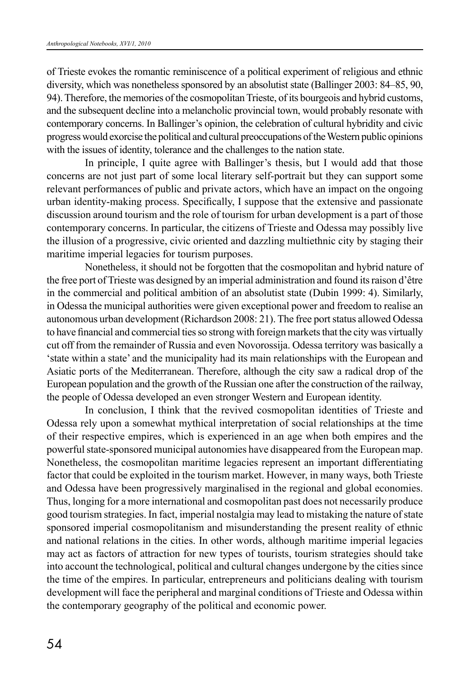of Trieste evokes the romantic reminiscence of a political experiment of religious and ethnic diversity, which was nonetheless sponsored by an absolutist state (Ballinger 2003: 84–85, 90, 94). Therefore, the memories of the cosmopolitan Trieste, of its bourgeois and hybrid customs, and the subsequent decline into a melancholic provincial town, would probably resonate with contemporary concerns. In Ballinger's opinion, the celebration of cultural hybridity and civic progress would exorcise the political and cultural preoccupations of the Western public opinions with the issues of identity, tolerance and the challenges to the nation state.

In principle, I quite agree with Ballinger's thesis, but I would add that those concerns are not just part of some local literary self-portrait but they can support some relevant performances of public and private actors, which have an impact on the ongoing urban identity-making process. Specifically, I suppose that the extensive and passionate discussion around tourism and the role of tourism for urban development is a part of those contemporary concerns. In particular, the citizens of Trieste and Odessa may possibly live the illusion of a progressive, civic oriented and dazzling multiethnic city by staging their maritime imperial legacies for tourism purposes.

Nonetheless, it should not be forgotten that the cosmopolitan and hybrid nature of the free port of Trieste was designed by an imperial administration and found its raison d'être in the commercial and political ambition of an absolutist state (Dubin 1999: 4). Similarly, in Odessa the municipal authorities were given exceptional power and freedom to realise an autonomous urban development (Richardson 2008: 21). The free port status allowed Odessa to have financial and commercial ties so strong with foreign markets that the city was virtually cut off from the remainder of Russia and even Novorossija. Odessa territory was basically a 'state within a state' and the municipality had its main relationships with the European and Asiatic ports of the Mediterranean. Therefore, although the city saw a radical drop of the European population and the growth of the Russian one after the construction of the railway, the people of Odessa developed an even stronger Western and European identity.

In conclusion, I think that the revived cosmopolitan identities of Trieste and Odessa rely upon a somewhat mythical interpretation of social relationships at the time of their respective empires, which is experienced in an age when both empires and the powerful state-sponsored municipal autonomies have disappeared from the European map. Nonetheless, the cosmopolitan maritime legacies represent an important differentiating factor that could be exploited in the tourism market. However, in many ways, both Trieste and Odessa have been progressively marginalised in the regional and global economies. Thus, longing for a more international and cosmopolitan past does not necessarily produce good tourism strategies. In fact, imperial nostalgia may lead to mistaking the nature of state sponsored imperial cosmopolitanism and misunderstanding the present reality of ethnic and national relations in the cities. In other words, although maritime imperial legacies may act as factors of attraction for new types of tourists, tourism strategies should take into account the technological, political and cultural changes undergone by the cities since the time of the empires. In particular, entrepreneurs and politicians dealing with tourism development will face the peripheral and marginal conditions of Trieste and Odessa within the contemporary geography of the political and economic power.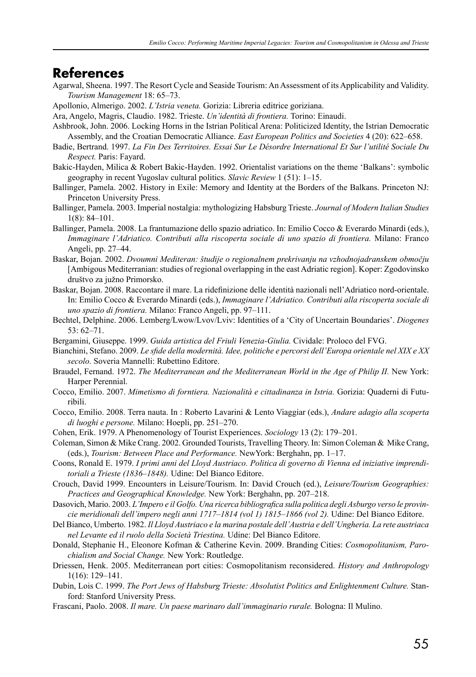#### **References**

- Agarwal, Sheena. 1997. The Resort Cycle and Seaside Tourism: An Assessment of its Applicability and Validity. *Tourism Management* 18: 65–73.
- Apollonio, Almerigo. 2002. *L'Istria veneta.* Gorizia: Libreria editrice goriziana.
- Ara, Angelo, Magris, Claudio. 1982. Trieste. *Un'identità di frontiera.* Torino: Einaudi.
- Ashbrook, John. 2006. Locking Horns in the Istrian Political Arena: Politicized Identity, the Istrian Democratic Assembly, and the Croatian Democratic Alliance. *East European Politics and Societies* 4 (20): 622–658.
- Badie, Bertrand. 1997. *La Fin Des Territoires. Essai Sur Le Désordre International Et Sur l'utilité Sociale Du Respect.* Paris: Fayard.
- Bakic-Hayden, Milica & Robert Bakic-Hayden. 1992. Orientalist variations on the theme 'Balkans': symbolic geography in recent Yugoslav cultural politics. *Slavic Review* 1 (51): 1–15.
- Ballinger, Pamela. 2002. History in Exile: Memory and Identity at the Borders of the Balkans. Princeton NJ: Princeton University Press.
- Ballinger, Pamela. 2003. Imperial nostalgia: mythologizing Habsburg Trieste. *Journal of Modern Italian Studies*  1(8): 84–101.
- Ballinger, Pamela. 2008. La frantumazione dello spazio adriatico. In: Emilio Cocco & Everardo Minardi (eds.), *Immaginare l'Adriatico. Contributi alla riscoperta sociale di uno spazio di frontiera.* Milano: Franco Angeli, pp. 27–44.
- Baskar, Bojan. 2002. *Dvoumni Mediteran: študije o regionalnem prekrivanju na vzhodnojadranskem območju*  [Ambigous Mediterranian: studies of regional overlapping in the east Adriatic region]. Koper: Zgodovinsko društvo za južno Primorsko.
- Baskar, Bojan. 2008. Raccontare il mare. La ridefinizione delle identità nazionali nell'Adriatico nord-orientale. In: Emilio Cocco & Everardo Minardi (eds.), *Immaginare l'Adriatico. Contributi alla riscoperta sociale di uno spazio di frontiera.* Milano: Franco Angeli, pp. 97–111.
- Bechtel, Delphine. 2006. Lemberg/Lwow/Lvov/Lviv: Identities of a 'City of Uncertain Boundaries'. *Diogenes*  53: 62–71.
- Bergamini, Giuseppe. 1999. *Guida artistica del Friuli Venezia-Giulia.* Cividale: Proloco del FVG.
- Bianchini, Stefano. 2009. *Le sfide della modernità. Idee, politiche e percorsi dell'Europa orientale nel XIX e XX secolo.* Soveria Mannelli: Rubettino Editore.
- Braudel, Fernand. 1972. *The Mediterranean and the Mediterranean World in the Age of Philip II.* New York: Harper Perennial.
- Cocco, Emilio. 2007. *Mimetismo di forntiera. Nazionalità e cittadinanza in Istria.* Gorizia: Quaderni di Futuribili.
- Cocco, Emilio. 2008. Terra nauta. In : Roberto Lavarini & Lento Viaggiar (eds.), *Andare adagio alla scoperta di luoghi e persone.* Milano: Hoepli, pp. 251–270.
- Cohen, Erik. 1979. A Phenomenology of Tourist Experiences. *Sociology* 13 (2): 179–201.
- Coleman, Simon & Mike Crang. 2002. Grounded Tourists, Travelling Theory. In: Simon Coleman & Mike Crang, (eds.), *Tourism: Between Place and Performance.* NewYork: Berghahn, pp. 1–17.
- Coons, Ronald E. 1979. *I primi anni del Lloyd Austriaco. Politica di governo di Vienna ed iniziative imprenditoriali a Trieste (1836–1848).* Udine: Del Bianco Editore.
- Crouch, David 1999. Encounters in Leisure/Tourism. In: David Crouch (ed.), *Leisure/Tourism Geographies: Practices and Geographical Knowledge.* New York: Berghahn, pp. 207–218.
- Dasovich, Mario. 2003. *L'Impero e il Golfo. Una ricerca bibliografica sulla politica degli Asburgo verso le provincie meridionali dell'impero negli anni 1717–1814 (vol 1) 1815–1866 (vol 2).* Udine: Del Bianco Editore.
- Del Bianco, Umberto. 1982. *Il Lloyd Austriaco e la marina postale dell'Austria e dell'Ungheria. La rete austriaca nel Levante ed il ruolo della Società Triestina.* Udine: Del Bianco Editore.
- Donald, Stephanie H., Eleonore Kofman & Catherine Kevin. 2009. Branding Cities: *Cosmopolitanism, Parochialism and Social Change.* New York: Routledge.
- Driessen, Henk. 2005. Mediterranean port cities: Cosmopolitanism reconsidered. *History and Anthropology*  1(16): 129–141.
- Dubin, Lois C. 1999. *The Port Jews of Habsburg Trieste: Absolutist Politics and Enlightenment Culture.* Stanford: Stanford University Press.
- Frascani, Paolo. 2008. *Il mare. Un paese marinaro dall'immaginario rurale.* Bologna: Il Mulino.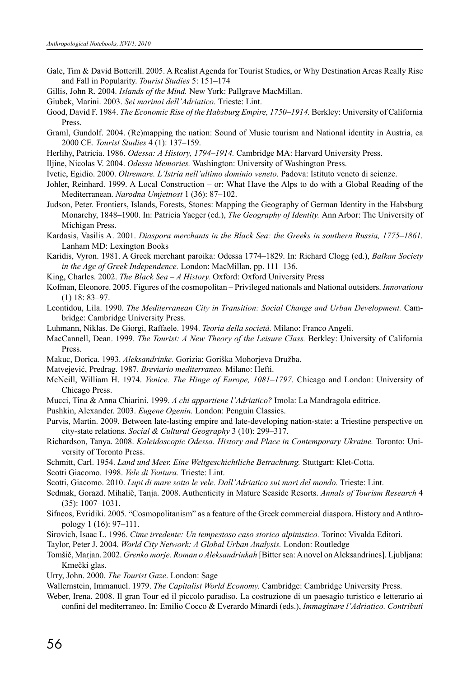- Gale, Tim & David Botterill. 2005. A Realist Agenda for Tourist Studies, or Why Destination Areas Really Rise and Fall in Popularity. *Tourist Studies* 5: 151–174
- Gillis, John R. 2004. *Islands of the Mind.* New York: Pallgrave MacMillan.
- Giubek, Marini. 2003. *Sei marinai dell'Adriatico.* Trieste: Lint.
- Good, David F. 1984. *The Economic Rise of the Habsburg Empire, 1750–1914.* Berkley: University of California Press.
- Graml, Gundolf. 2004. (Re)mapping the nation: Sound of Music tourism and National identity in Austria, ca 2000 CE. *Tourist Studies* 4 (1): 137–159.
- Herlihy, Patricia. 1986. *Odessa: A History, 1794–1914.* Cambridge MA: Harvard University Press.
- Iljine, Nicolas V. 2004. *Odessa Memories.* Washington: University of Washington Press.
- Ivetic, Egidio. 2000. *Oltremare. L'Istria nell'ultimo dominio veneto.* Padova: Istituto veneto di scienze.
- Johler, Reinhard. 1999. A Local Construction or: What Have the Alps to do with a Global Reading of the Mediterranean. *Narodna Umjetnost* 1 (36): 87–102.
- Judson, Peter. Frontiers, Islands, Forests, Stones: Mapping the Geography of German Identity in the Habsburg Monarchy, 1848–1900. In: Patricia Yaeger (ed.), *The Geography of Identity.* Ann Arbor: The University of Michigan Press.
- Kardasis, Vasilis A. 2001. *Diaspora merchants in the Black Sea: the Greeks in southern Russia, 1775–1861.*  Lanham MD: Lexington Books
- Karidis, Vyron. 1981. A Greek merchant paroika: Odessa 1774–1829. In: Richard Clogg (ed.), *Balkan Society in the Age of Greek Independence.* London: MacMillan, pp. 111–136.
- King, Charles. 2002. *The Black Sea A History.* Oxford: Oxford University Press
- Kofman, Eleonore. 2005. Figures of the cosmopolitan Privileged nationals and National outsiders. *Innovations*  (1) 18: 83–97.
- Leontidou, Lila. 1990. *The Mediterranean City in Transition: Social Change and Urban Development*. Cambridge: Cambridge University Press.
- Luhmann, Niklas. De Giorgi, Raffaele. 1994. *Teoria della società.* Milano: Franco Angeli.
- MacCannell, Dean. 1999. *The Tourist: A New Theory of the Leisure Class.* Berkley: University of California Press.
- Makuc, Dorica. 1993. *Aleksandrinke.* Gorizia: Goriška Mohorjeva Družba.
- Matvejević, Predrag. 1987. *Breviario mediterraneo.* Milano: Hefti.
- McNeill, William H. 1974. *Venice. The Hinge of Europe, 1081–1797.* Chicago and London: University of Chicago Press.
- Mucci, Tina & Anna Chiarini. 1999. *A chi appartiene l'Adriatico?* Imola: La Mandragola editrice.
- Pushkin, Alexander. 2003. *Eugene Ogenin.* London: Penguin Classics.
- Purvis, Martin. 2009. Between late-lasting empire and late-developing nation-state: a Triestine perspective on city-state relations. *Social & Cultural Geography* 3 (10): 299–317.
- Richardson, Tanya. 2008. *Kaleidoscopic Odessa. History and Place in Contemporary Ukraine.* Toronto: University of Toronto Press.
- Schmitt, Carl. 1954. *Land und Meer. Eine Weltgeschichtliche Betrachtung.* Stuttgart: Klet-Cotta.
- Scotti Giacomo. 1998. *Vele di Ventura.* Trieste: Lint.
- Scotti, Giacomo. 2010. *Lupi di mare sotto le vele. Dall'Adriatico sui mari del mondo.* Trieste: Lint.
- Sedmak, Gorazd. Mihalič, Tanja. 2008. Authenticity in Mature Seaside Resorts. *Annals of Tourism Research* 4 (35): 1007–1031.
- Sifneos, Evridiki. 2005. "Cosmopolitanism" as a feature of the Greek commercial diaspora. History and Anthropology 1 (16): 97–111.
- Sirovich, Isaac L. 1996. *Cime irredente: Un tempestoso caso storico alpinistico.* Torino: Vivalda Editori.
- Taylor, Peter J. 2004. *World City Network: A Global Urban Analysis.* London: Routledge
- Tomšič, Marjan. 2002. *Grenko morje. Roman o Aleksandrinkah* [Bitter sea: A novel on Aleksandrines]. Ljubljana: Kmečki glas.

Urry, John. 2000. *The Tourist Gaze*. London: Sage

Wallernstein, Immanuel. 1979. *The Capitalist World Economy.* Cambridge: Cambridge University Press.

Weber, Irena. 2008. Il gran Tour ed il piccolo paradiso. La costruzione di un paesagio turistico e letterario ai confini del mediterraneo. In: Emilio Cocco & Everardo Minardi (eds.), *Immaginare l'Adriatico. Contributi*